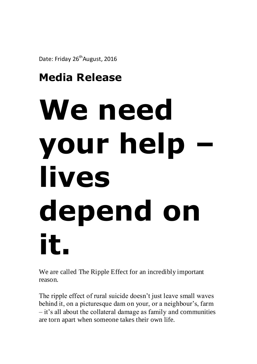Date: Friday 26<sup>th</sup> August, 2016

## **Media Release**

## We need **your help – lives depend on it.**

We are called The Ripple Effect for an incredibly important reason.

The ripple effect of rural suicide doesn't just leave small waves behind it, on a picturesque dam on your, or a neighbour's, farm – it's all about the collateral damage as family and communities are torn apart when someone takes their own life.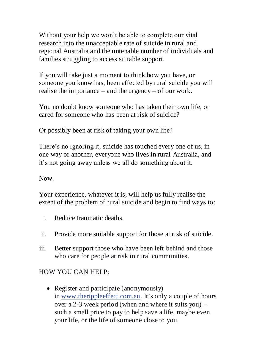Without your help we won't be able to complete our vital research into the unacceptable rate of suicide in rural and regional Australia and the untenable number of individuals and families struggling to access suitable support.

If you will take just a moment to think how you have, or someone you know has, been affected by rural suicide you will realise the importance – and the urgency – of our work.

You no doubt know someone who has taken their own life, or cared for someone who has been at risk of suicide?

Or possibly been at risk of taking your own life?

There's no ignoring it, suicide has touched every one of us, in one way or another, everyone who lives in rural Australia, and it's not going away unless we all do something about it.

Now.

Your experience, whatever it is, will help us fully realise the extent of the problem of rural suicide and begin to find ways to:

- i. Reduce traumatic deaths.
- ii. Provide more suitable support for those at risk of suicide.
- iii. Better support those who have been left behind and those who care for people at risk in rural communities.

HOW YOU CAN HELP:

• Register and participate (anonymously) in [www.therippleeffect.com.au.](http://www.therippleeffect.com.au/) It's only a couple of hours over a 2-3 week period (when and where it suits you) – such a small price to pay to help save a life, maybe even your life, or the life of someone close to you.